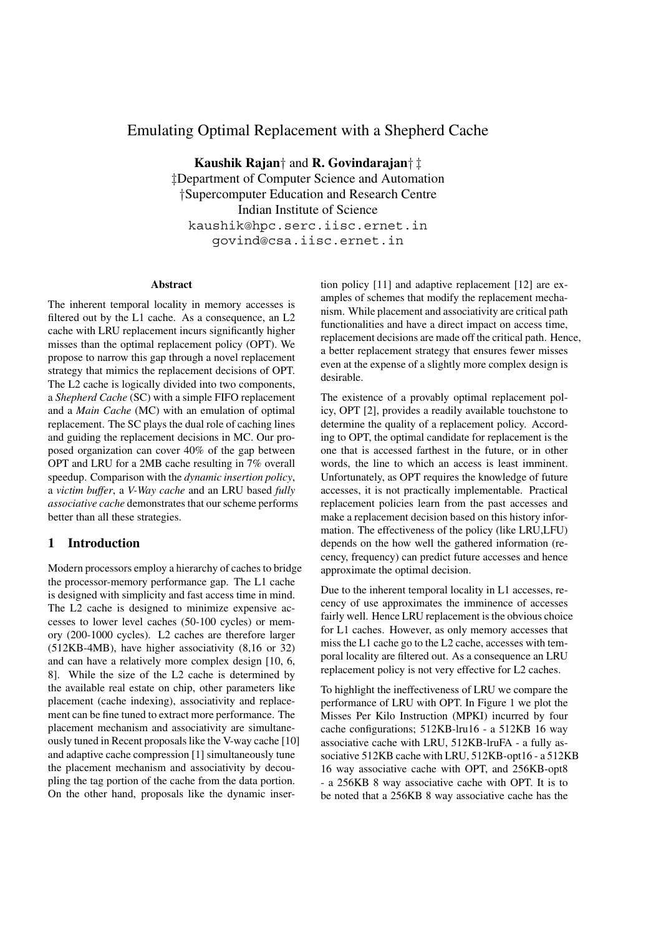# Emulating Optimal Replacement with a Shepherd Cache

**Kaushik Rajan***†* and **R. Govindarajan***† ‡ ‡*Department of Computer Science and Automation *†*Supercomputer Education and Research Centre Indian Institute of Science kaushik@hpc.serc.iisc.ernet.in govind@csa.iisc.ernet.in

### **Abstract**

The inherent temporal locality in memory accesses is filtered out by the L1 cache. As a consequence, an L2 cache with LRU replacement incurs significantly higher misses than the optimal replacement policy (OPT). We propose to narrow this gap through a novel replacement strategy that mimics the replacement decisions of OPT. The L2 cache is logically divided into two components, a *Shepherd Cache* (SC) with a simple FIFO replacement and a *Main Cache* (MC) with an emulation of optimal replacement. The SC plays the dual role of caching lines and guiding the replacement decisions in MC. Our proposed organization can cover 40% of the gap between OPT and LRU for a 2MB cache resulting in 7% overall speedup. Comparison with the *dynamic insertion policy*, a *victim buffer*, a *V-Way cache* and an LRU based *fully associative cache* demonstrates that our scheme performs better than all these strategies.

## **1 Introduction**

Modern processors employ a hierarchy of caches to bridge the processor-memory performance gap. The L1 cache is designed with simplicity and fast access time in mind. The L2 cache is designed to minimize expensive accesses to lower level caches (50-100 cycles) or memory (200-1000 cycles). L2 caches are therefore larger (512KB-4MB), have higher associativity (8,16 or 32) and can have a relatively more complex design [10, 6, 8]. While the size of the L2 cache is determined by the available real estate on chip, other parameters like placement (cache indexing), associativity and replacement can be fine tuned to extract more performance. The placement mechanism and associativity are simultaneously tuned in Recent proposals like the V-way cache [10] and adaptive cache compression [1] simultaneously tune the placement mechanism and associativity by decoupling the tag portion of the cache from the data portion. On the other hand, proposals like the dynamic insertion policy [11] and adaptive replacement [12] are examples of schemes that modify the replacement mechanism. While placement and associativity are critical path functionalities and have a direct impact on access time, replacement decisions are made off the critical path. Hence, a better replacement strategy that ensures fewer misses even at the expense of a slightly more complex design is desirable.

The existence of a provably optimal replacement policy, OPT [2], provides a readily available touchstone to determine the quality of a replacement policy. According to OPT, the optimal candidate for replacement is the one that is accessed farthest in the future, or in other words, the line to which an access is least imminent. Unfortunately, as OPT requires the knowledge of future accesses, it is not practically implementable. Practical replacement policies learn from the past accesses and make a replacement decision based on this history information. The effectiveness of the policy (like LRU,LFU) depends on the how well the gathered information (recency, frequency) can predict future accesses and hence approximate the optimal decision.

Due to the inherent temporal locality in L1 accesses, recency of use approximates the imminence of accesses fairly well. Hence LRU replacement is the obvious choice for L1 caches. However, as only memory accesses that miss the L1 cache go to the L2 cache, accesses with temporal locality are filtered out. As a consequence an LRU replacement policy is not very effective for L2 caches.

To highlight the ineffectiveness of LRU we compare the performance of LRU with OPT. In Figure 1 we plot the Misses Per Kilo Instruction (MPKI) incurred by four cache configurations; 512KB-lru16 - a 512KB 16 way associative cache with LRU, 512KB-lruFA - a fully associative 512KB cache with LRU, 512KB-opt16 - a 512KB 16 way associative cache with OPT, and 256KB-opt8 - a 256KB 8 way associative cache with OPT. It is to be noted that a 256KB 8 way associative cache has the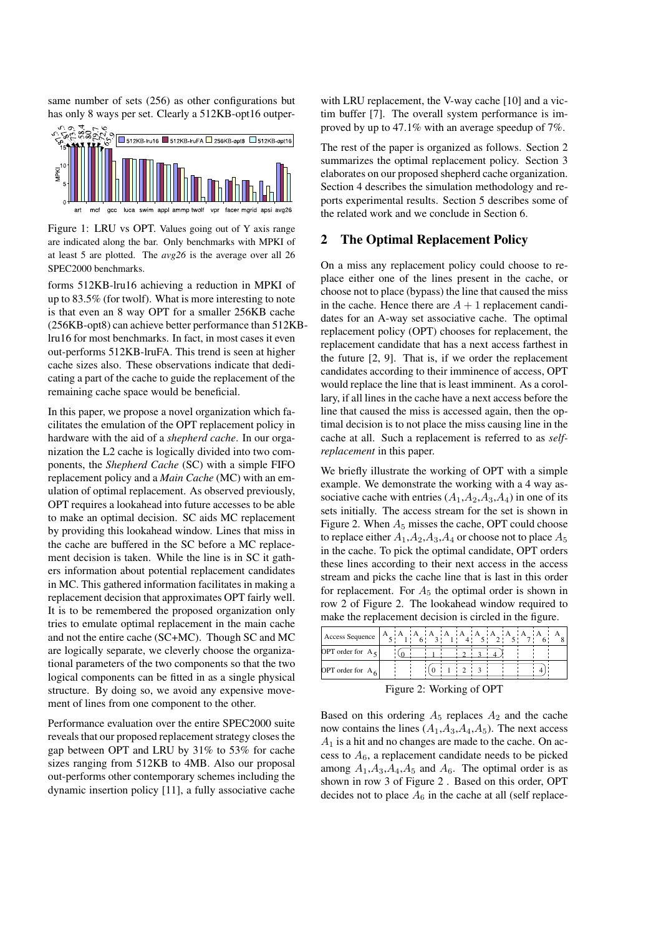same number of sets (256) as other configurations but has only 8 ways per set. Clearly a 512KB-opt16 outper-



Figure 1: LRU vs OPT. Values going out of Y axis range are indicated along the bar. Only benchmarks with MPKI of at least 5 are plotted. The *avg26* is the average over all 26 SPEC2000 benchmarks.

forms 512KB-lru16 achieving a reduction in MPKI of up to 83.5% (for twolf). What is more interesting to note is that even an 8 way OPT for a smaller 256KB cache (256KB-opt8) can achieve better performance than 512KBlru16 for most benchmarks. In fact, in most cases it even out-performs 512KB-lruFA. This trend is seen at higher cache sizes also. These observations indicate that dedicating a part of the cache to guide the replacement of the remaining cache space would be beneficial.

In this paper, we propose a novel organization which facilitates the emulation of the OPT replacement policy in hardware with the aid of a *shepherd cache*. In our organization the L2 cache is logically divided into two components, the *Shepherd Cache* (SC) with a simple FIFO replacement policy and a *Main Cache* (MC) with an emulation of optimal replacement. As observed previously, OPT requires a lookahead into future accesses to be able to make an optimal decision. SC aids MC replacement by providing this lookahead window. Lines that miss in the cache are buffered in the SC before a MC replacement decision is taken. While the line is in SC it gathers information about potential replacement candidates in MC. This gathered information facilitates in making a replacement decision that approximates OPT fairly well. It is to be remembered the proposed organization only tries to emulate optimal replacement in the main cache and not the entire cache (SC+MC). Though SC and MC are logically separate, we cleverly choose the organizational parameters of the two components so that the two logical components can be fitted in as a single physical structure. By doing so, we avoid any expensive movement of lines from one component to the other.

Performance evaluation over the entire SPEC2000 suite reveals that our proposed replacement strategy closes the gap between OPT and LRU by 31% to 53% for cache sizes ranging from 512KB to 4MB. Also our proposal out-performs other contemporary schemes including the dynamic insertion policy [11], a fully associative cache with LRU replacement, the V-way cache [10] and a victim buffer [7]. The overall system performance is improved by up to 47.1% with an average speedup of 7%.

The rest of the paper is organized as follows. Section 2 summarizes the optimal replacement policy. Section 3 elaborates on our proposed shepherd cache organization. Section 4 describes the simulation methodology and reports experimental results. Section 5 describes some of the related work and we conclude in Section 6.

## **2 The Optimal Replacement Policy**

On a miss any replacement policy could choose to replace either one of the lines present in the cache, or choose not to place (bypass) the line that caused the miss in the cache. Hence there are  $A + 1$  replacement candidates for an A-way set associative cache. The optimal replacement policy (OPT) chooses for replacement, the replacement candidate that has a next access farthest in the future [2, 9]. That is, if we order the replacement candidates according to their imminence of access, OPT would replace the line that is least imminent. As a corollary, if all lines in the cache have a next access before the line that caused the miss is accessed again, then the optimal decision is to not place the miss causing line in the cache at all. Such a replacement is referred to as *selfreplacement* in this paper.

We briefly illustrate the working of OPT with a simple example. We demonstrate the working with a 4 way associative cache with entries  $(A_1, A_2, A_3, A_4)$  in one of its sets initially. The access stream for the set is shown in Figure 2. When  $A_5$  misses the cache, OPT could choose to replace either *<sup>A</sup>*<sup>1</sup>,*A*<sup>2</sup>,*A*<sup>3</sup>,*A*<sup>4</sup> or choose not to place *<sup>A</sup>*<sup>5</sup> in the cache. To pick the optimal candidate, OPT orders these lines according to their next access in the access stream and picks the cache line that is last in this order for replacement. For  $A_5$  the optimal order is shown in row 2 of Figure 2. The lookahead window required to make the replacement decision is circled in the figure.

| Access Sequence     |  | A ¦A ¦A ¦A ¦A ¦A ¦A |  |  |  |  |
|---------------------|--|---------------------|--|--|--|--|
| OPT order for $A_5$ |  |                     |  |  |  |  |
| OPT order for $A_6$ |  |                     |  |  |  |  |

Figure 2: Working of OPT

Based on this ordering  $A_5$  replaces  $A_2$  and the cache now contains the lines  $(A_1, A_3, A_4, A_5)$ . The next access *<sup>A</sup>*<sup>1</sup> is a hit and no changes are made to the cache. On access to  $A_6$ , a replacement candidate needs to be picked among  $A_1$ , $A_3$ , $A_4$ , $A_5$  and  $A_6$ . The optimal order is as shown in row 3 of Figure 2 . Based on this order, OPT decides not to place  $A_6$  in the cache at all (self replace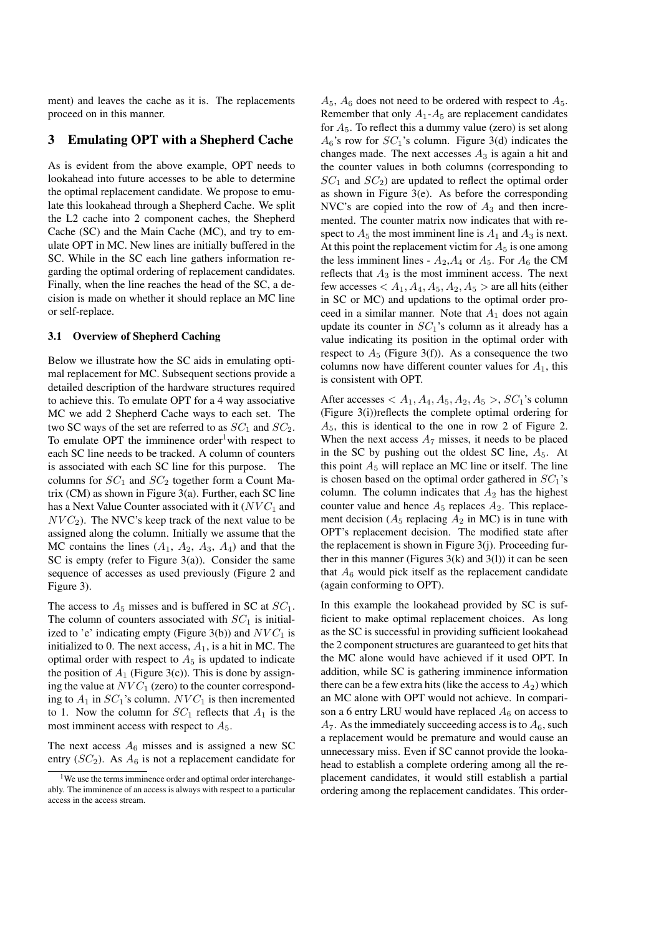ment) and leaves the cache as it is. The replacements proceed on in this manner.

## **3 Emulating OPT with a Shepherd Cache**

As is evident from the above example, OPT needs to lookahead into future accesses to be able to determine the optimal replacement candidate. We propose to emulate this lookahead through a Shepherd Cache. We split the L2 cache into 2 component caches, the Shepherd Cache (SC) and the Main Cache (MC), and try to emulate OPT in MC. New lines are initially buffered in the SC. While in the SC each line gathers information regarding the optimal ordering of replacement candidates. Finally, when the line reaches the head of the SC, a decision is made on whether it should replace an MC line or self-replace.

#### **3.1 Overview of Shepherd Caching**

Below we illustrate how the SC aids in emulating optimal replacement for MC. Subsequent sections provide a detailed description of the hardware structures required to achieve this. To emulate OPT for a 4 way associative MC we add 2 Shepherd Cache ways to each set. The two SC ways of the set are referred to as  $SC_1$  and  $SC_2$ . To emulate OPT the imminence order<sup>1</sup>with respect to each SC line needs to be tracked. A column of counters is associated with each SC line for this purpose. The columns for  $SC_1$  and  $SC_2$  together form a Count Matrix (CM) as shown in Figure 3(a). Further, each SC line has a Next Value Counter associated with it (*NVC*<sub>1</sub> and  $NVC<sub>2</sub>$ ). The NVC's keep track of the next value to be assigned along the column. Initially we assume that the MC contains the lines  $(A_1, A_2, A_3, A_4)$  and that the SC is empty (refer to Figure 3(a)). Consider the same sequence of accesses as used previously (Figure 2 and Figure 3).

The access to  $A_5$  misses and is buffered in SC at  $SC_1$ . The column of counters associated with  $SC<sub>1</sub>$  is initialized to 'e' indicating empty (Figure 3(b)) and  $NVC_1$  is initialized to 0. The next access,  $A_1$ , is a hit in MC. The optimal order with respect to  $A_5$  is updated to indicate the position of  $A_1$  (Figure 3(c)). This is done by assigning the value at  $NVC_1$  (zero) to the counter corresponding to  $A_1$  in  $SC_1$ 's column.  $NVC_1$  is then incremented to 1. Now the column for  $SC_1$  reflects that  $A_1$  is the most imminent access with respect to  $A_5$ .

The next access  $A_6$  misses and is assigned a new SC entry  $(SC_2)$ . As  $A_6$  is not a replacement candidate for  $A_5$ ,  $A_6$  does not need to be ordered with respect to  $A_5$ . Remember that only  $A_1$ - $A_5$  are replacement candidates for *A*5. To reflect this a dummy value (zero) is set along  $A_6$ 's row for  $SC_1$ 's column. Figure 3(d) indicates the changes made. The next accesses  $A_3$  is again a hit and the counter values in both columns (corresponding to  $SC_1$  and  $SC_2$ ) are updated to reflect the optimal order as shown in Figure 3(e). As before the corresponding NVC's are copied into the row of *<sup>A</sup>*<sup>3</sup> and then incremented. The counter matrix now indicates that with respect to  $A_5$  the most imminent line is  $A_1$  and  $A_3$  is next. At this point the replacement victim for  $A_5$  is one among the less imminent lines -  $A_2$ ,  $A_4$  or  $A_5$ . For  $A_6$  the CM reflects that  $A_3$  is the most imminent access. The next few accesses  $\lt A_1, A_4, A_5, A_2, A_5$   $>$  are all hits (either in SC or MC) and updations to the optimal order proceed in a similar manner. Note that  $A_1$  does not again update its counter in *SC*1's column as it already has a value indicating its position in the optimal order with respect to  $A_5$  (Figure 3(f)). As a consequence the two columns now have different counter values for *A*1, this is consistent with OPT.

After accesses  $\langle A_1, A_4, A_5, A_2, A_5 \rangle$ ,  $SC_1$ 's column (Figure 3(i))reflects the complete optimal ordering for *A*<sup>5</sup>, this is identical to the one in row 2 of Figure 2. When the next access  $A_7$  misses, it needs to be placed in the SC by pushing out the oldest SC line,  $A_5$ . At this point  $A_5$  will replace an MC line or itself. The line is chosen based on the optimal order gathered in *SC*<sup>1</sup>'s column. The column indicates that  $A_2$  has the highest counter value and hence  $A_5$  replaces  $A_2$ . This replacement decision  $(A_5$  replacing  $A_2$  in MC) is in tune with OPT's replacement decision. The modified state after the replacement is shown in Figure 3(j). Proceeding further in this manner (Figures  $3(k)$  and  $3(l)$ ) it can be seen that  $A_6$  would pick itself as the replacement candidate (again conforming to OPT).

In this example the lookahead provided by SC is sufficient to make optimal replacement choices. As long as the SC is successful in providing sufficient lookahead the 2 component structures are guaranteed to get hits that the MC alone would have achieved if it used OPT. In addition, while SC is gathering imminence information there can be a few extra hits (like the access to  $A_2$ ) which an MC alone with OPT would not achieve. In comparison a 6 entry LRU would have replaced  $A_6$  on access to  $A_7$ . As the immediately succeeding access is to  $A_6$ , such a replacement would be premature and would cause an unnecessary miss. Even if SC cannot provide the lookahead to establish a complete ordering among all the replacement candidates, it would still establish a partial ordering among the replacement candidates. This order-

<sup>&</sup>lt;sup>1</sup>We use the terms imminence order and optimal order interchangeably. The imminence of an access is always with respect to a particular access in the access stream.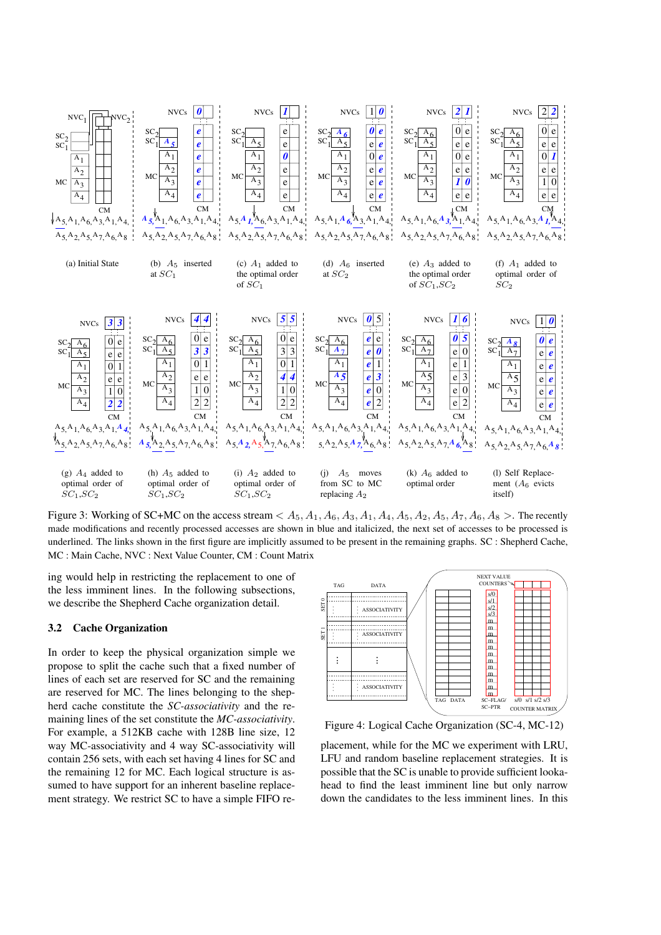

Figure 3: Working of SC+MC on the access stream  $A_5, A_1, A_6, A_3, A_1, A_4, A_5, A_2, A_5, A_7, A_6, A_8 >$ . The recently made modifications and recently processed accesses are shown in blue and italicized, the next set of accesses to be processed is underlined. The links shown in the first figure are implicitly assumed to be present in the remaining graphs. SC : Shepherd Cache, MC : Main Cache, NVC : Next Value Counter, CM : Count Matrix

ing would help in restricting the replacement to one of the less imminent lines. In the following subsections, we describe the Shepherd Cache organization detail.

### **3.2 Cache Organization**

In order to keep the physical organization simple we propose to split the cache such that a fixed number of lines of each set are reserved for SC and the remaining are reserved for MC. The lines belonging to the shepherd cache constitute the *SC-associativity* and the remaining lines of the set constitute the *MC-associativity*. For example, a 512KB cache with 128B line size, 12 way MC-associativity and 4 way SC-associativity will contain 256 sets, with each set having 4 lines for SC and the remaining 12 for MC. Each logical structure is assumed to have support for an inherent baseline replacement strategy. We restrict SC to have a simple FIFO re-



Figure 4: Logical Cache Organization (SC-4, MC-12)

placement, while for the MC we experiment with LRU, LFU and random baseline replacement strategies. It is possible that the SC is unable to provide sufficient lookahead to find the least imminent line but only narrow down the candidates to the less imminent lines. In this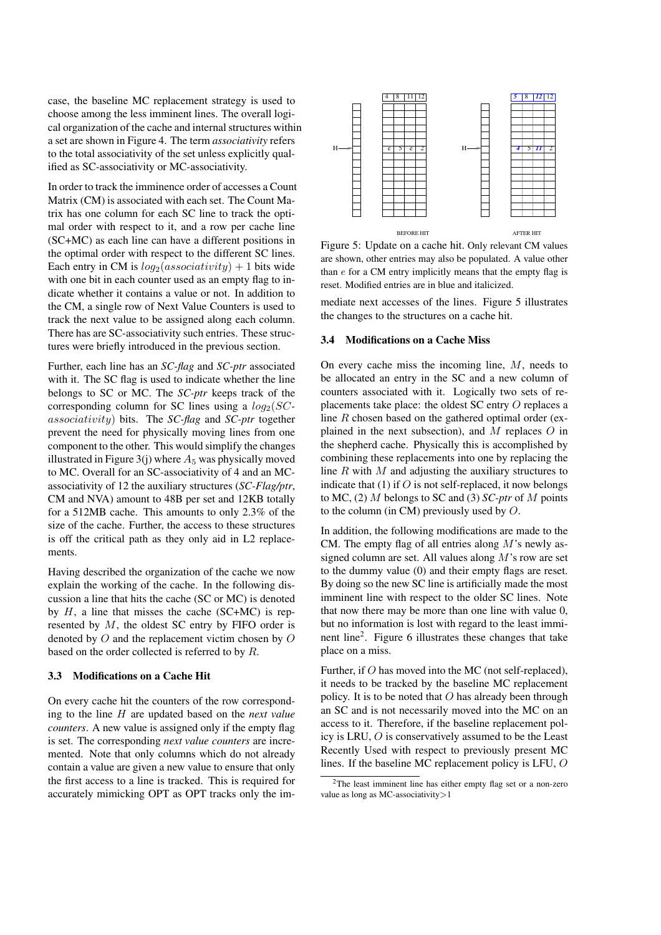case, the baseline MC replacement strategy is used to choose among the less imminent lines. The overall logical organization of the cache and internal structures within a set are shown in Figure 4. The term *associativity* refers to the total associativity of the set unless explicitly qualified as SC-associativity or MC-associativity.

In order to track the imminence order of accesses a Count Matrix (CM) is associated with each set. The Count Matrix has one column for each SC line to track the optimal order with respect to it, and a row per cache line (SC+MC) as each line can have a different positions in the optimal order with respect to the different SC lines. Each entry in CM is  $log_2(associativity) + 1$  bits wide with one bit in each counter used as an empty flag to indicate whether it contains a value or not. In addition to the CM, a single row of Next Value Counters is used to track the next value to be assigned along each column. There has are SC-associativity such entries. These structures were briefly introduced in the previous section.

Further, each line has an *SC-flag* and *SC-ptr* associated with it. The SC flag is used to indicate whether the line belongs to SC or MC. The *SC-ptr* keeps track of the corresponding column for SC lines using a *log*<sup>2</sup>(*SCassociativity*) bits. The *SC-flag* and *SC-ptr* together prevent the need for physically moving lines from one component to the other. This would simplify the changes illustrated in Figure  $3$ (j) where  $A_5$  was physically moved to MC. Overall for an SC-associativity of 4 and an MCassociativity of 12 the auxiliary structures (*SC-Flag/ptr*, CM and NVA) amount to 48B per set and 12KB totally for a 512MB cache. This amounts to only 2.3% of the size of the cache. Further, the access to these structures is off the critical path as they only aid in L2 replacements.

Having described the organization of the cache we now explain the working of the cache. In the following discussion a line that hits the cache (SC or MC) is denoted by  $H$ , a line that misses the cache (SC+MC) is represented by *M*, the oldest SC entry by FIFO order is denoted by *O* and the replacement victim chosen by *O* based on the order collected is referred to by *R*.

## **3.3 Modifications on a Cache Hit**

On every cache hit the counters of the row corresponding to the line *H* are updated based on the *next value counters*. A new value is assigned only if the empty flag is set. The corresponding *next value counters* are incremented. Note that only columns which do not already contain a value are given a new value to ensure that only the first access to a line is tracked. This is required for accurately mimicking OPT as OPT tracks only the im-



Figure 5: Update on a cache hit. Only relevant CM values are shown, other entries may also be populated. A value other than *e* for a CM entry implicitly means that the empty flag is reset. Modified entries are in blue and italicized.

mediate next accesses of the lines. Figure 5 illustrates the changes to the structures on a cache hit.

#### **3.4 Modifications on a Cache Miss**

On every cache miss the incoming line, *M*, needs to be allocated an entry in the SC and a new column of counters associated with it. Logically two sets of replacements take place: the oldest SC entry *O* replaces a line *R* chosen based on the gathered optimal order (explained in the next subsection), and *M* replaces *O* in the shepherd cache. Physically this is accomplished by combining these replacements into one by replacing the line *R* with *M* and adjusting the auxiliary structures to indicate that (1) if *O* is not self-replaced, it now belongs to MC, (2) *M* belongs to SC and (3) *SC-ptr* of *M* points to the column (in CM) previously used by *O*.

In addition, the following modifications are made to the CM. The empty flag of all entries along *M*'s newly assigned column are set. All values along *M*'s row are set to the dummy value (0) and their empty flags are reset. By doing so the new SC line is artificially made the most imminent line with respect to the older SC lines. Note that now there may be more than one line with value 0, but no information is lost with regard to the least imminent line2. Figure 6 illustrates these changes that take place on a miss.

Further, if *O* has moved into the MC (not self-replaced), it needs to be tracked by the baseline MC replacement policy. It is to be noted that *O* has already been through an SC and is not necessarily moved into the MC on an access to it. Therefore, if the baseline replacement policy is LRU, *O* is conservatively assumed to be the Least Recently Used with respect to previously present MC lines. If the baseline MC replacement policy is LFU, *O*

<sup>2</sup>The least imminent line has either empty flag set or a non-zero value as long as MC-associativity*>*1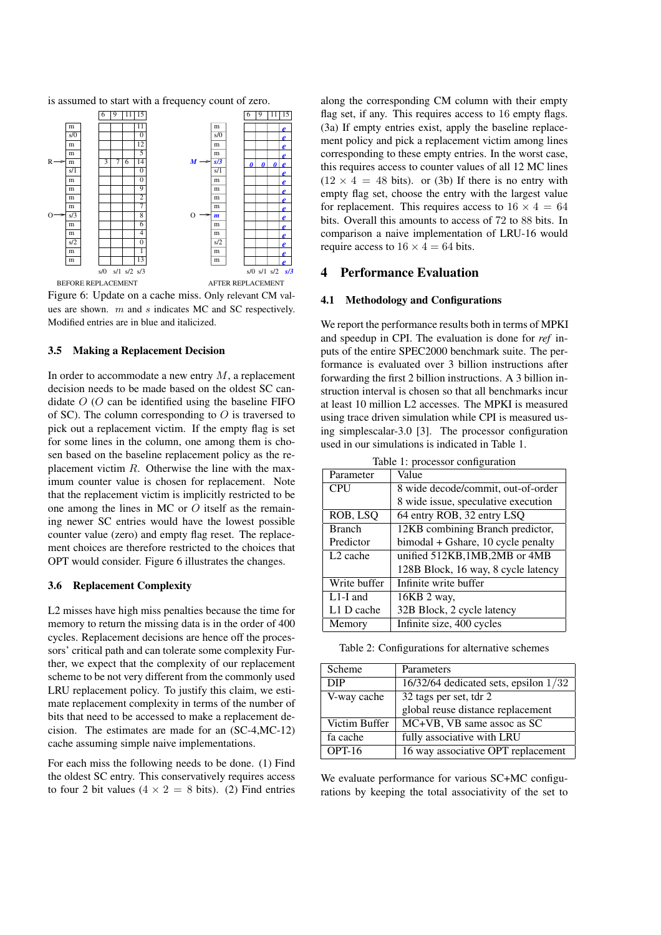is assumed to start with a frequency count of zero.



Figure 6: Update on a cache miss. Only relevant CM values are shown. *m* and *s* indicates MC and SC respectively. Modified entries are in blue and italicized.

#### **3.5 Making a Replacement Decision**

In order to accommodate a new entry *M*, a replacement decision needs to be made based on the oldest SC candidate *O* (*O* can be identified using the baseline FIFO of SC). The column corresponding to *O* is traversed to pick out a replacement victim. If the empty flag is set for some lines in the column, one among them is chosen based on the baseline replacement policy as the replacement victim *R*. Otherwise the line with the maximum counter value is chosen for replacement. Note that the replacement victim is implicitly restricted to be one among the lines in MC or *O* itself as the remaining newer SC entries would have the lowest possible counter value (zero) and empty flag reset. The replacement choices are therefore restricted to the choices that OPT would consider. Figure 6 illustrates the changes.

### **3.6 Replacement Complexity**

L2 misses have high miss penalties because the time for memory to return the missing data is in the order of 400 cycles. Replacement decisions are hence off the processors' critical path and can tolerate some complexity Further, we expect that the complexity of our replacement scheme to be not very different from the commonly used LRU replacement policy. To justify this claim, we estimate replacement complexity in terms of the number of bits that need to be accessed to make a replacement decision. The estimates are made for an (SC-4,MC-12) cache assuming simple naive implementations.

For each miss the following needs to be done. (1) Find the oldest SC entry. This conservatively requires access to four 2 bit values ( $4 \times 2 = 8$  bits). (2) Find entries along the corresponding CM column with their empty flag set, if any. This requires access to 16 empty flags. (3a) If empty entries exist, apply the baseline replacement policy and pick a replacement victim among lines corresponding to these empty entries. In the worst case, this requires access to counter values of all 12 MC lines  $(12 \times 4 = 48$  bits). or (3b) If there is no entry with empty flag set, choose the entry with the largest value for replacement. This requires access to  $16 \times 4 = 64$ bits. Overall this amounts to access of 72 to 88 bits. In comparison a naive implementation of LRU-16 would require access to  $16 \times 4 = 64$  bits.

## **4 Performance Evaluation**

### **4.1 Methodology and Configurations**

We report the performance results both in terms of MPKI and speedup in CPI. The evaluation is done for *ref* inputs of the entire SPEC2000 benchmark suite. The performance is evaluated over 3 billion instructions after forwarding the first 2 billion instructions. A 3 billion instruction interval is chosen so that all benchmarks incur at least 10 million L2 accesses. The MPKI is measured using trace driven simulation while CPI is measured using simplescalar-3.0 [3]. The processor configuration used in our simulations is indicated in Table 1.

| rable 1. processor configuration |                                     |  |  |  |
|----------------------------------|-------------------------------------|--|--|--|
| Parameter                        | Value                               |  |  |  |
| <b>CPU</b>                       | 8 wide decode/commit, out-of-order  |  |  |  |
|                                  | 8 wide issue, speculative execution |  |  |  |
| ROB, LSQ                         | 64 entry ROB, 32 entry LSQ          |  |  |  |
| <b>Branch</b>                    | 12KB combining Branch predictor,    |  |  |  |
| Predictor                        | bimodal + Gshare, 10 cycle penalty  |  |  |  |
| L <sub>2</sub> cache             | unified 512KB, 1MB, 2MB or 4MB      |  |  |  |
|                                  | 128B Block, 16 way, 8 cycle latency |  |  |  |
| Write buffer                     | Infinite write buffer               |  |  |  |
| $L1-I$ and                       | 16KB 2 way,                         |  |  |  |
| L1 D cache                       | 32B Block, 2 cycle latency          |  |  |  |
| Memory                           | Infinite size, 400 cycles           |  |  |  |

Table 1: processor configuration

Table 2: Configurations for alternative schemes

| Scheme        | Parameters                                |
|---------------|-------------------------------------------|
| <b>DIP</b>    | $16/32/64$ dedicated sets, epsilon $1/32$ |
| V-way cache   | 32 tags per set, tdr 2                    |
|               | global reuse distance replacement         |
| Victim Buffer | MC+VB, VB same assoc as SC                |
| fa cache      | fully associative with LRU                |
| $OPT-16$      | 16 way associative OPT replacement        |

We evaluate performance for various SC+MC configurations by keeping the total associativity of the set to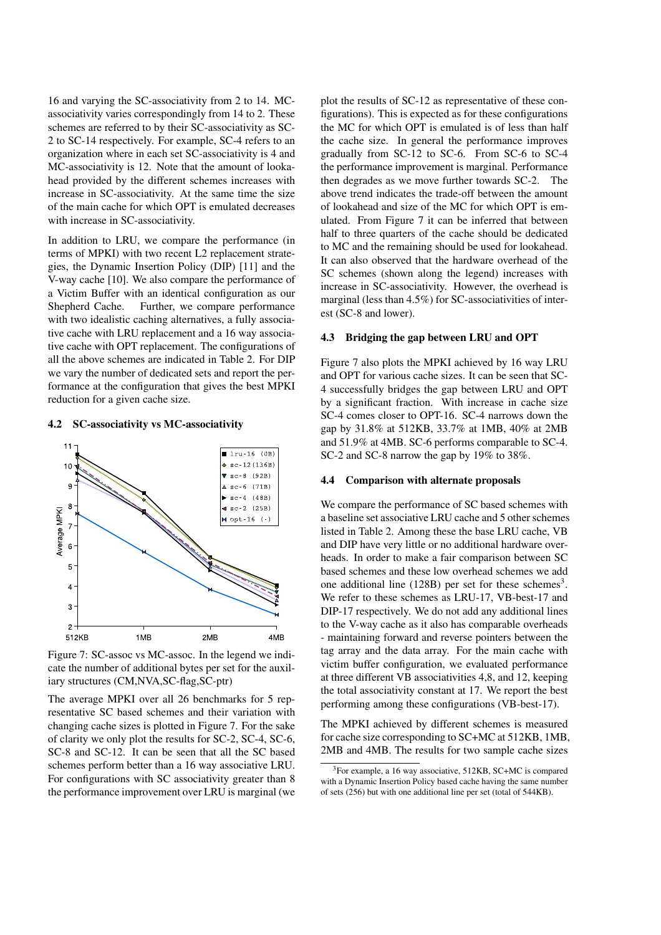16 and varying the SC-associativity from 2 to 14. MCassociativity varies correspondingly from 14 to 2. These schemes are referred to by their SC-associativity as SC-2 to SC-14 respectively. For example, SC-4 refers to an organization where in each set SC-associativity is 4 and MC-associativity is 12. Note that the amount of lookahead provided by the different schemes increases with increase in SC-associativity. At the same time the size of the main cache for which OPT is emulated decreases with increase in SC-associativity.

In addition to LRU, we compare the performance (in terms of MPKI) with two recent L2 replacement strategies, the Dynamic Insertion Policy (DIP) [11] and the V-way cache [10]. We also compare the performance of a Victim Buffer with an identical configuration as our Shepherd Cache. Further, we compare performance with two idealistic caching alternatives, a fully associative cache with LRU replacement and a 16 way associative cache with OPT replacement. The configurations of all the above schemes are indicated in Table 2. For DIP we vary the number of dedicated sets and report the performance at the configuration that gives the best MPKI reduction for a given cache size.

#### **4.2 SC-associativity vs MC-associativity**



Figure 7: SC-assoc vs MC-assoc. In the legend we indicate the number of additional bytes per set for the auxiliary structures (CM,NVA,SC-flag,SC-ptr)

The average MPKI over all 26 benchmarks for 5 representative SC based schemes and their variation with changing cache sizes is plotted in Figure 7. For the sake of clarity we only plot the results for SC-2, SC-4, SC-6, SC-8 and SC-12. It can be seen that all the SC based schemes perform better than a 16 way associative LRU. For configurations with SC associativity greater than 8 the performance improvement over LRU is marginal (we plot the results of SC-12 as representative of these configurations). This is expected as for these configurations the MC for which OPT is emulated is of less than half the cache size. In general the performance improves gradually from SC-12 to SC-6. From SC-6 to SC-4 the performance improvement is marginal. Performance then degrades as we move further towards SC-2. The above trend indicates the trade-off between the amount of lookahead and size of the MC for which OPT is emulated. From Figure 7 it can be inferred that between half to three quarters of the cache should be dedicated to MC and the remaining should be used for lookahead. It can also observed that the hardware overhead of the SC schemes (shown along the legend) increases with increase in SC-associativity. However, the overhead is marginal (less than 4.5%) for SC-associativities of interest (SC-8 and lower).

#### **4.3 Bridging the gap between LRU and OPT**

Figure 7 also plots the MPKI achieved by 16 way LRU and OPT for various cache sizes. It can be seen that SC-4 successfully bridges the gap between LRU and OPT by a significant fraction. With increase in cache size SC-4 comes closer to OPT-16. SC-4 narrows down the gap by 31.8% at 512KB, 33.7% at 1MB, 40% at 2MB and 51.9% at 4MB. SC-6 performs comparable to SC-4. SC-2 and SC-8 narrow the gap by 19% to 38%.

#### **4.4 Comparison with alternate proposals**

We compare the performance of SC based schemes with a baseline set associative LRU cache and 5 other schemes listed in Table 2. Among these the base LRU cache, VB and DIP have very little or no additional hardware overheads. In order to make a fair comparison between SC based schemes and these low overhead schemes we add one additional line  $(128B)$  per set for these schemes<sup>3</sup>. We refer to these schemes as LRU-17, VB-best-17 and DIP-17 respectively. We do not add any additional lines to the V-way cache as it also has comparable overheads - maintaining forward and reverse pointers between the tag array and the data array. For the main cache with victim buffer configuration, we evaluated performance at three different VB associativities 4,8, and 12, keeping the total associativity constant at 17. We report the best performing among these configurations (VB-best-17).

The MPKI achieved by different schemes is measured for cache size corresponding to SC+MC at 512KB, 1MB, 2MB and 4MB. The results for two sample cache sizes

<sup>3</sup>For example, a 16 way associative, 512KB, SC+MC is compared with a Dynamic Insertion Policy based cache having the same number of sets (256) but with one additional line per set (total of 544KB).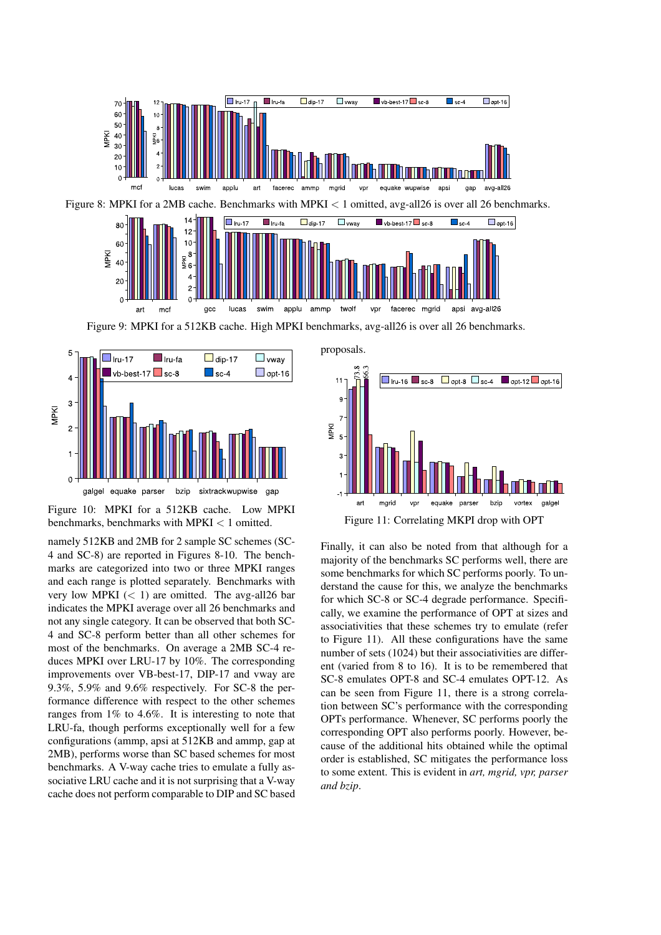

Figure 9: MPKI for a 512KB cache. High MPKI benchmarks, avg-all26 is over all 26 benchmarks.



Figure 10: MPKI for a 512KB cache. Low MPKI benchmarks, benchmarks with MPKI *<* 1 omitted.

namely 512KB and 2MB for 2 sample SC schemes (SC-4 and SC-8) are reported in Figures 8-10. The benchmarks are categorized into two or three MPKI ranges and each range is plotted separately. Benchmarks with very low MPKI  $(< 1)$  are omitted. The avg-all26 bar indicates the MPKI average over all 26 benchmarks and not any single category. It can be observed that both SC-4 and SC-8 perform better than all other schemes for most of the benchmarks. On average a 2MB SC-4 reduces MPKI over LRU-17 by 10%. The corresponding improvements over VB-best-17, DIP-17 and vway are 9.3%, 5.9% and 9.6% respectively. For SC-8 the performance difference with respect to the other schemes ranges from 1% to 4.6%. It is interesting to note that LRU-fa, though performs exceptionally well for a few configurations (ammp, apsi at 512KB and ammp, gap at 2MB), performs worse than SC based schemes for most benchmarks. A V-way cache tries to emulate a fully associative LRU cache and it is not surprising that a V-way cache does not perform comparable to DIP and SC based



Finally, it can also be noted from that although for a majority of the benchmarks SC performs well, there are some benchmarks for which SC performs poorly. To understand the cause for this, we analyze the benchmarks for which SC-8 or SC-4 degrade performance. Specifically, we examine the performance of OPT at sizes and associativities that these schemes try to emulate (refer to Figure 11). All these configurations have the same number of sets (1024) but their associativities are different (varied from 8 to 16). It is to be remembered that SC-8 emulates OPT-8 and SC-4 emulates OPT-12. As can be seen from Figure 11, there is a strong correlation between SC's performance with the corresponding OPTs performance. Whenever, SC performs poorly the corresponding OPT also performs poorly. However, because of the additional hits obtained while the optimal order is established, SC mitigates the performance loss to some extent. This is evident in *art, mgrid, vpr, parser and bzip*.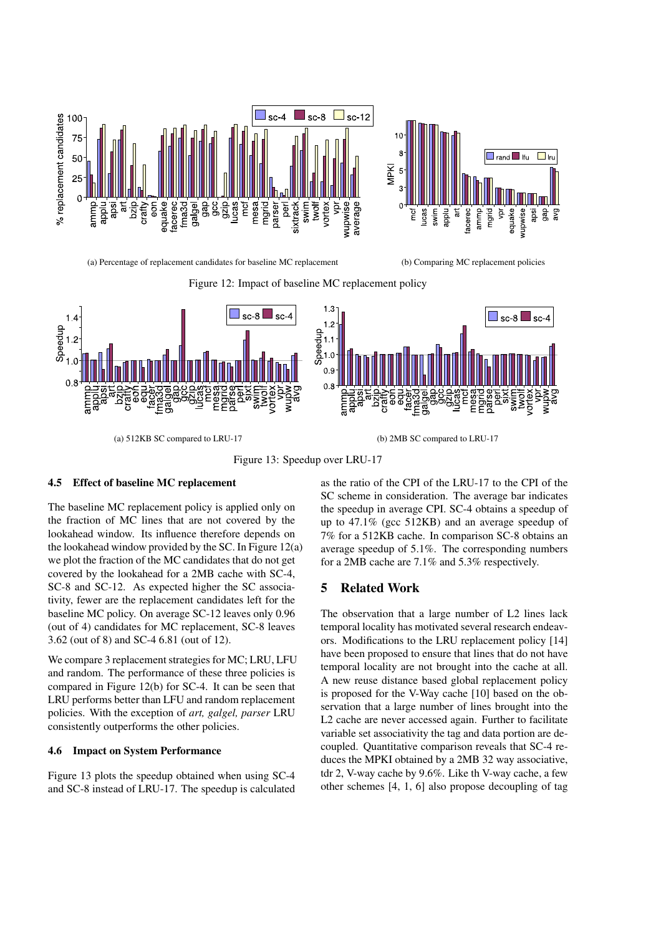



(a) Percentage of replacement candidates for baseline MC replacement (b) Comparing MC replacement policies





Figure 13: Speedup over LRU-17

#### **4.5 Effect of baseline MC replacement**

The baseline MC replacement policy is applied only on the fraction of MC lines that are not covered by the lookahead window. Its influence therefore depends on the lookahead window provided by the SC. In Figure 12(a) we plot the fraction of the MC candidates that do not get covered by the lookahead for a 2MB cache with SC-4, SC-8 and SC-12. As expected higher the SC associativity, fewer are the replacement candidates left for the baseline MC policy. On average SC-12 leaves only 0.96 (out of 4) candidates for MC replacement, SC-8 leaves 3.62 (out of 8) and SC-4 6.81 (out of 12).

We compare 3 replacement strategies for MC; LRU, LFU and random. The performance of these three policies is compared in Figure 12(b) for SC-4. It can be seen that LRU performs better than LFU and random replacement policies. With the exception of *art, galgel, parser* LRU consistently outperforms the other policies.

### **4.6 Impact on System Performance**

Figure 13 plots the speedup obtained when using SC-4 and SC-8 instead of LRU-17. The speedup is calculated as the ratio of the CPI of the LRU-17 to the CPI of the SC scheme in consideration. The average bar indicates the speedup in average CPI. SC-4 obtains a speedup of up to 47.1% (gcc 512KB) and an average speedup of 7% for a 512KB cache. In comparison SC-8 obtains an average speedup of 5.1%. The corresponding numbers for a 2MB cache are 7.1% and 5.3% respectively.

## **5 Related Work**

The observation that a large number of L2 lines lack temporal locality has motivated several research endeavors. Modifications to the LRU replacement policy [14] have been proposed to ensure that lines that do not have temporal locality are not brought into the cache at all. A new reuse distance based global replacement policy is proposed for the V-Way cache [10] based on the observation that a large number of lines brought into the L2 cache are never accessed again. Further to facilitate variable set associativity the tag and data portion are decoupled. Quantitative comparison reveals that SC-4 reduces the MPKI obtained by a 2MB 32 way associative, tdr 2, V-way cache by 9.6%. Like th V-way cache, a few other schemes [4, 1, 6] also propose decoupling of tag